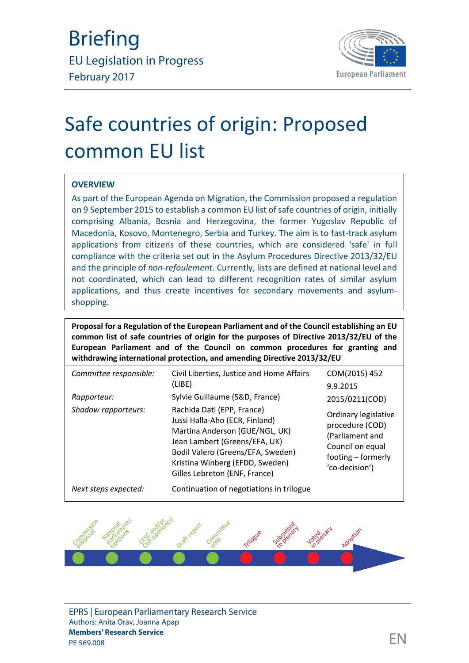

# Safe countries of origin: Proposed common EU list

#### **OVERVIEW**

As part of the European Agenda on Migration, the Commission proposed a regulation on 9 September 2015 to establish a common EU list of safe countries of origin, initially comprising Albania, Bosnia and Herzegovina, the former Yugoslav Republic of Macedonia, Kosovo, Montenegro, Serbia and Turkey. The aim is to fast-track asylum applications from citizens of these countries, which are considered 'safe' in full compliance with the criteria set out in the Asylum Procedures Directive 2013/32/EU and the principle of *non-refoulement*. Currently, lists are defined at national level and not coordinated, which can lead to different recognition rates of similar asylum applications, and thus create incentives for secondary movements and asylum shopping.

**Proposal for a Regulation of the European Parliament and of the Council establishing an EU common list of safe countries of origin for the purposes of Directive 2013/32/EU of the European Parliament and of the Council on common procedures for granting and withdrawing international protection, and amending Directive 2013/32/EU**

| Committee responsible: | Civil Liberties, Justice and Home Affairs<br>(LIBE)                                                                                                                                                                                      | COM(2015) 452<br>9.9.2015                                                                                              |  |
|------------------------|------------------------------------------------------------------------------------------------------------------------------------------------------------------------------------------------------------------------------------------|------------------------------------------------------------------------------------------------------------------------|--|
| Rapporteur:            | Sylvie Guillaume (S&D, France)                                                                                                                                                                                                           | 2015/0211(COD)                                                                                                         |  |
| Shadow rapporteurs:    | Rachida Dati (EPP, France)<br>Jussi Halla-Aho (ECR, Finland)<br>Martina Anderson (GUE/NGL, UK)<br>Jean Lambert (Greens/EFA, UK)<br>Bodil Valero (Greens/EFA, Sweden)<br>Kristina Winberg (EFDD, Sweden)<br>Gilles Lebreton (ENF, France) | Ordinary legislative<br>procedure (COD)<br>(Parliament and<br>Council on equal<br>footing - formerly<br>'co-decision') |  |
| Next steps expected:   | Continuation of negotiations in trilogue                                                                                                                                                                                                 |                                                                                                                        |  |

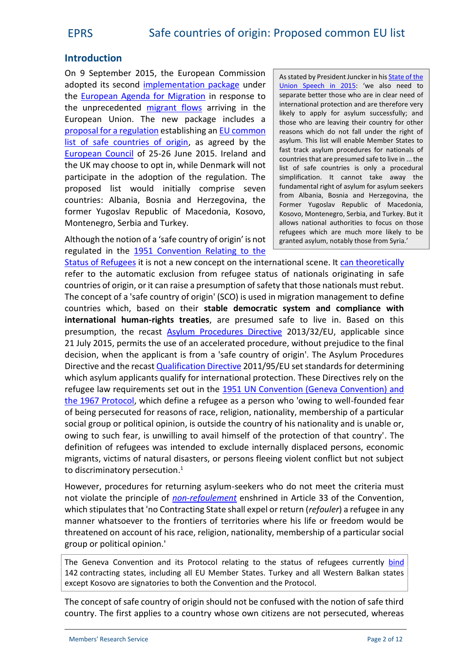#### **Introduction**

On 9 September 2015, the European Commission adopted its second [implementation package](http://ec.europa.eu/dgs/home-affairs/what-we-do/policies/european-agenda-migration/proposal-implementation-package/index_en.htm) under the [European Agenda for Migration](http://eur-lex.europa.eu/legal-content/EN/TXT/?uri=CELEX%3A52015DC0240) in response to the unprecedented [migrant flows](http://frontex.europa.eu/trends-and-routes/migratory-routes-map/) arriving in the European Union. The new package includes a [proposal for a](http://eur-lex.europa.eu/legal-content/en/TXT/?uri=CELEX:52015PC0452) regulation establishing an [EU common](http://ec.europa.eu/dgs/home-affairs/what-we-do/policies/european-agenda-migration/background-information/docs/2_eu_safe_countries_of_origin_en.pdf) [list of safe countries of origin](http://ec.europa.eu/dgs/home-affairs/what-we-do/policies/european-agenda-migration/background-information/docs/2_eu_safe_countries_of_origin_en.pdf), as agreed by the [European Council](http://www.consilium.europa.eu/en/press/press-releases/2015/06/26-euco-conclusions/) of 25-26 June 2015. Ireland and the UK may choose to opt in, while Denmark will not participate in the adoption of the regulation. The proposed list would initially comprise seven countries: Albania, Bosnia and Herzegovina, the former Yugoslav Republic of Macedonia, Kosovo, Montenegro, Serbia and Turkey.

Although the notion of a 'safe country of origin' is not regulated in the [1951 Convention Relating to the](http://www.unhcr.org/3b66c2aa10.html)

As stated by President Juncker in his **[State of the](https://ec.europa.eu/priorities/sites/beta-political/files/state_of_the_union_2015_en.pdf)** [Union Speech in 2015:](https://ec.europa.eu/priorities/sites/beta-political/files/state_of_the_union_2015_en.pdf) 'we also need to separate better those who are in clear need of international protection and are therefore very likely to apply for asylum successfully; and those who are leaving their country for other reasons which do not fall under the right of asylum. This list will enable Member States to fast track asylum procedures for nationals of countries that are presumed safe to live in ... the list of safe countries is only a procedural simplification. It cannot take away the fundamental right of asylum for asylum seekers from Albania, Bosnia and Herzegovina, the Former Yugoslav Republic of Macedonia, Kosovo, Montenegro, Serbia, and Turkey. But it allows national authorities to focus on those refugees which are much more likely to be granted asylum, notably those from Syria.'

[Status of Refugees](http://www.unhcr.org/3b66c2aa10.html) it is not a new concept on the international scene. It [can theoretically](http://www.asylumineurope.org/sites/default/files/resources/no-283-why-turkey-is-not-a-safe-country.pdf) refer to the automatic exclusion from refugee status of nationals originating in safe countries of origin, or it can raise a presumption of safety that those nationals must rebut. The concept of a 'safe country of origin' (SCO) is used in migration management to define countries which, based on their **stable democratic system and compliance with international human-rights treaties**, are presumed safe to live in. Based on this presumption, the recast [Asylum Procedures Directive](http://eur-lex.europa.eu/legal-content/EN/TXT/?uri=CELEX:32013L0032) 2013/32/EU, applicable since 21 July 2015, permits the use of an accelerated procedure, without prejudice to the final decision, when the applicant is from a 'safe country of origin'. The Asylum Procedures Directive and the recast [Qualification Directive](http://eur-lex.europa.eu/legal-content/EN/TXT/?uri=celex:32011L0095) 2011/95/EU set standards for determining which asylum applicants qualify for international protection. These Directives rely on the refugee law requirements set out in the [1951 UN Convention \(Geneva Convention\) and](http://www.unhcr.org/3b66c2aa10.html) [the 1967 Protocol](http://www.unhcr.org/3b66c2aa10.html), which define a refugee as a person who 'owing to well-founded fear of being persecuted for reasons of race, religion, nationality, membership of a particular social group or political opinion, is outside the country of his nationality and is unable or, owing to such fear, is unwilling to avail himself of the protection of that country'. The definition of refugees was intended to exclude internally displaced persons, economic migrants, victims of natural disasters, or persons fleeing violent conflict but not subject to discriminatory persecution.<sup>1</sup>

However, procedures for returning asylum-seekers who do not meet the criteria must not violate the principle of *[non-refoulement](http://ec.europa.eu/dgs/home-affairs/what-we-do/networks/european_migration_network/docs/emn-glossary-en-version.pdf)* enshrined in Article 33 of the Convention, which stipulates that 'no Contracting State shall expel or return (*refouler*) a refugee in any manner whatsoever to the frontiers of territories where his life or freedom would be threatened on account of his race, religion, nationality, membership of a particular social group or political opinion.'

The Geneva Convention and its Protocol relating to the status of refugees currently [bind](http://www.unhcr.org/3b73b0d63.html) 142 contracting states, including all EU Member States. Turkey and all Western Balkan states except Kosovo are signatories to both the Convention and the Protocol.

The concept of safe country of origin should not be confused with the notion of safe third country. The first applies to a country whose own citizens are not persecuted, whereas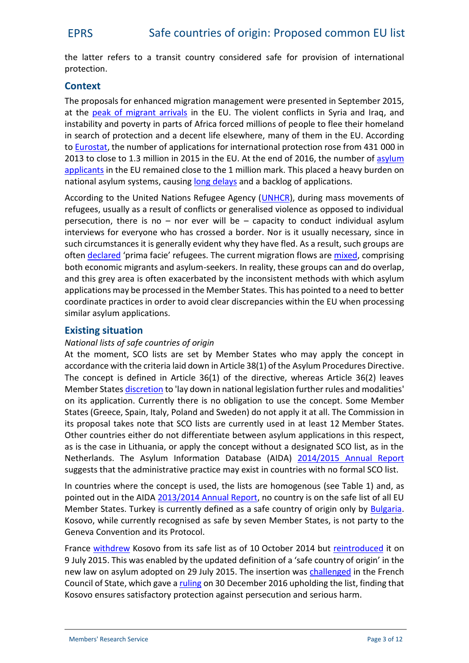the latter refers to a transit country considered safe for provision of international protection.

### **Context**

The proposals for enhanced migration management were presented in September 2015, at the [peak of migrant arrivals](http://www.pewglobal.org/2016/08/02/number-of-refugees-to-europe-surges-to-record-1-3-million-in-2015/) in the EU. The violent conflicts in Syria and Iraq, and instability and poverty in parts of Africa forced millions of people to flee their homeland in search of protection and a decent life elsewhere, many of them in the EU. According to [Eurostat](http://ec.europa.eu/eurostat/statistics-explained/index.php/Asylum_statistics), the number of applications for international protection rose from 431 000 in 2013 to close to 1.3 million in 2015 in the EU. At the end of 2016, the number of [asylum](http://ec.europa.eu/eurostat/web/asylum-and-managed-migration/data/main-tables) [applicants](http://ec.europa.eu/eurostat/web/asylum-and-managed-migration/data/main-tables) in the EU remained close to the 1 million mark. This placed a heavy burden on national asylum systems, causing long [delays](http://www.ecre.org/wp-content/uploads/2016/10/AIDA-Brief-DurationProcedures.pdf) and a backlog of applications.

According to the United Nations Refugee Agency ([UNHCR\)](http://www.unhcr.org/cgi-bin/texis/vtx/home), during mass movements of refugees, usually as a result of conflicts or generalised violence as opposed to individual persecution, there is no  $-$  nor ever will be  $-$  capacity to conduct individual asylum interviews for everyone who has crossed a border. Nor is it usually necessary, since in such circumstances it is generally evident why they have fled. As a result, such groups are often [declared](http://www.unhcr.org/pages/49c3646c137.html) 'prima facie' refugees. The current migration flows are [mixed](http://www.cfr.org/migration/europes-migration-crisis/p32874), comprising both economic migrants and asylum-seekers. In reality, these groups can and do overlap, and this grey area is often exacerbated by the inconsistent methods with which asylum applications may be processed in the Member States. This has pointed to a need to better coordinate practices in order to avoid clear discrepancies within the EU when processing similar asylum applications.

#### **Existing situation**

#### *National lists of safe countries of origin*

At the moment, SCO lists are set by Member States who may apply the concept in accordance with the criteria laid down in Article 38(1) of the Asylum Procedures Directive. The concept is defined in Article 36(1) of the directive, whereas Article 36(2) leaves Member States [discretion](http://emn.ee/wp-content/uploads/2016/02/582_Article-36-of-the-Directive-201332EU-24.11.2014.pdf) to 'lay down in national legislation further rules and modalities' on its application. Currently there is no obligation to use the concept. Some Member States (Greece, Spain, Italy, Poland and Sweden) do not apply it at all. The Commission in its proposal takes note that SCO lists are currently used in at least 12 Member States. Other countries either do not differentiate between asylum applications in this respect, as is the case in Lithuania, or apply the concept without a designated SCO list, as in the Netherlands. The Asylum Information Database (AIDA) [2014/2015 Annual Report](http://www.asylumineurope.org/sites/default/files/shadow-reports/aida_annualreport_2014-2015_0.pdf) suggests that the administrative practice may exist in countries with no formal SCO list.

In countries where the concept is used, the lists are homogenous (see Table 1) and, as pointed out in the AIDA [2013/2014 Annual Report,](http://www.asylumineurope.org/sites/default/files/shadow-reports/aida_annual_report_2013-2014_0.pdf) no country is on the safe list of all EU Member States. Turkey is currently defined as a safe country of origin only by [Bulgaria](http://www.statewatch.org/news/2015/jul/eu-com-safe-countries.pdf). Kosovo, while currently recognised as safe by seven Member States, is not party to the Geneva Convention and its Protocol.

France [withdrew](http://www.conseil-etat.fr/Actualites/Communiques/Liste-des-pays-d-origine-surs-de-l-OFPRA) Kosovo from its safe list as of 10 October 2014 but [reintroduced](http://www.asylumineurope.org/news/01-03-2016/france-kosovo-reintroduced-list-safe-countries-origin) it on 9 July 2015. This was enabled by the updated definition of a 'safe country of origin' in the new law on asylum adopted on 29 July 2015. The insertion was [challenged](http://www.forumrefugies.org/presse/communiques/liste-des-pays-d-origine-sur-le-retour-contestable-du-kosovo) in the French Council of State, which gave a [ruling](http://www.conseil-etat.fr/Decisions-Avis-Publications/Decisions/Selection-des-decisions-faisant-l-objet-d-une-communication-particuliere/CE-30-decembre-2016-Association-Elena-France-et-autres) on 30 December 2016 upholding the list, finding that Kosovo ensures satisfactory protection against persecution and serious harm.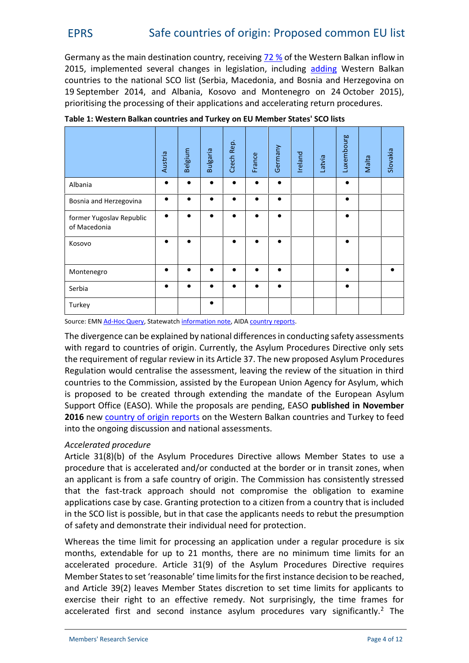# EPRS Safe countries of origin: Proposed common EU list

Germany as the main destination country, receiving [72](https://www.easo.europa.eu/sites/default/files/public/EN_ Annual Report 2015_1.pdf) % of the Western Balkan inflow in 2015, implemented several changes in legislation, including [adding](http://www.asylumineurope.org/news/24-11-2015/aida-update-germany-lower-rights-asylum-seekers-%E2%80%9Csafe-countries-origin%E2%80%9D-dublin-all) Western Balkan countries to the national SCO list (Serbia, Macedonia, and Bosnia and Herzegovina on 19 September 2014, and Albania, Kosovo and Montenegro on 24 October 2015), prioritising the processing of their applications and accelerating return procedures.

|                                          | Austria | Belgium   | <b>Bulgaria</b> | Czech Rep. | France    | Germany   | Ireland | Latvia | Luxembourg | Malta | Slovakia  |
|------------------------------------------|---------|-----------|-----------------|------------|-----------|-----------|---------|--------|------------|-------|-----------|
| Albania                                  |         |           | $\bullet$       |            | $\bullet$ | $\bullet$ |         |        | $\bullet$  |       |           |
| Bosnia and Herzegovina                   | ●       | $\bullet$ | $\bullet$       |            | $\bullet$ | $\bullet$ |         |        | $\bullet$  |       |           |
| former Yugoslav Republic<br>of Macedonia |         |           | $\bullet$       |            | $\bullet$ | $\bullet$ |         |        | $\bullet$  |       |           |
| Kosovo                                   |         |           |                 |            |           | ●         |         |        |            |       |           |
| Montenegro                               |         |           |                 |            | $\bullet$ | $\bullet$ |         |        | $\bullet$  |       | $\bullet$ |
| Serbia                                   | ●       | $\bullet$ | $\bullet$       |            | $\bullet$ | $\bullet$ |         |        | $\bullet$  |       |           |
| Turkey                                   |         |           |                 |            |           |           |         |        |            |       |           |

**Table 1: Western Balkan countries and Turkey on EU Member States' SCO lists**

Source: EMN [Ad-Hoc Query,](http://ec.europa.eu/dgs/home-affairs/what-we-do/networks/european_migration_network/reports/docs/ad-hoc-queries/return/2015_659_emn_ahq_concept_of_safe_country_of_origin_wider_dissemination.pdf) Statewatch [information note,](http://www.statewatch.org/news/2015/jul/eu-com-safe-countries.pdf) AIDA [country reports](http://www.asylumineurope.org/reports).

The divergence can be explained by national differences in conducting safety assessments with regard to countries of origin. Currently, the Asylum Procedures Directive only sets the requirement of regular review in its Article 37. The new proposed Asylum Procedures Regulation would centralise the assessment, leaving the review of the situation in third countries to the Commission, assisted by the European Union Agency for Asylum, which is proposed to be created through extending the mandate of the European Asylum Support Office (EASO). While the proposals are pending, EASO **published in November 2016** new [country of origin reports](https://www.easo.europa.eu/information-analysis/country-origin-information/country-reports) on the Western Balkan countries and Turkey to feed into the ongoing discussion and national assessments.

#### *Accelerated procedure*

Article 31(8)(b) of the Asylum Procedures Directive allows Member States to use a procedure that is accelerated and/or conducted at the border or in transit zones, when an applicant is from a safe country of origin. The Commission has consistently stressed that the fast-track approach should not compromise the obligation to examine applications case by case. Granting protection to a citizen from a country that is included in the SCO list is possible, but in that case the applicants needs to rebut the presumption of safety and demonstrate their individual need for protection.

Whereas the time limit for processing an application under a regular procedure is six months, extendable for up to 21 months, there are no minimum time limits for an accelerated procedure. Article 31(9) of the Asylum Procedures Directive requires Member States to set 'reasonable' time limits for the first instance decision to be reached, and Article 39(2) leaves Member States discretion to set time limits for applicants to exercise their right to an effective remedy. Not surprisingly, the time frames for accelerated first and second instance asylum procedures vary significantly.<sup>2</sup> The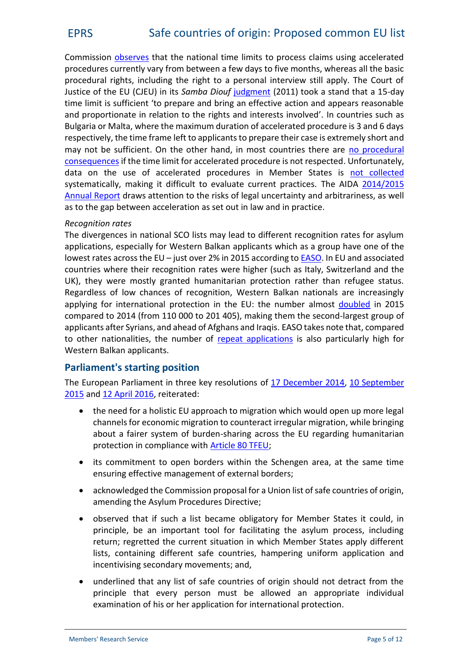Commission [observes](http://europa.eu/rapid/press-release_MEMO-15-5597_en.htm) that the national time limits to process claims using accelerated procedures currently vary from between a few days to five months, whereas all the basic procedural rights, including the right to a personal interview still apply. The Court of Justice of the EU (CJEU) in its *Samba Diouf* [judgment](http://curia.europa.eu/juris/liste.jsf?language=en&num=C-69/10) (2011) took a stand that a 15-day time limit is sufficient 'to prepare and bring an effective action and appears reasonable and proportionate in relation to the rights and interests involved'. In countries such as Bulgaria or Malta, where the maximum duration of accelerated procedure is 3 and 6 days respectively, the time frame left to applicants to prepare their case is extremely short and may not be sufficient. On the other hand, in most countries there are [no procedural](http://www.ecre.org/wp-content/uploads/2016/10/AIDA-Brief-DurationProcedures.pdf) [consequences](http://www.ecre.org/wp-content/uploads/2016/10/AIDA-Brief-DurationProcedures.pdf) if the time limit for accelerated procedure is not respected. Unfortunately, data on the use of accelerated procedures in Member States is [not collected](http://www.asylumineurope.org/sites/default/files/shadow-reports/admissibility_responsibility_and_safety_in_european_asylum_procedures.pdf) systematically, making it difficult to evaluate current practices. The AIDA [2014/2015](http://www.asylumineurope.org/sites/default/files/shadow-reports/aida_annualreport_2014-2015_0.pdf) [Annual Report](http://www.asylumineurope.org/sites/default/files/shadow-reports/aida_annualreport_2014-2015_0.pdf) draws attention to the risks of legal uncertainty and arbitrariness, as well as to the gap between acceleration as set out in law and in practice.

#### *Recognition rates*

The divergences in national SCO lists may lead to different recognition rates for asylum applications, especially for Western Balkan applicants which as a group have one of the lowest rates across the EU – just over 2% in 2015 according to [EASO](https://www.easo.europa.eu/sites/default/files/public/EN_ Annual Report 2015_1.pdf). In EU and associated countries where their recognition rates were higher (such as Italy, Switzerland and the UK), they were mostly granted humanitarian protection rather than refugee status. Regardless of low chances of recognition, Western Balkan nationals are increasingly applying for international protection in the EU: the number almost [doubled](https://www.easo.europa.eu/sites/default/files/public/EN_ Annual Report 2015_1.pdf) in 2015 compared to 2014 (from 110 000 to 201 405), making them the second-largest group of applicants after Syrians, and ahead of Afghans and Iraqis. EASO takes note that, compared to other nationalities, the number of [repeat applications](https://www.easo.europa.eu/analysis-and-statistics) is also particularly high for Western Balkan applicants.

#### **Parliament's starting position**

The European Parliament in three key resolutions of [17 December 2014](http://www.europarl.europa.eu/sides/getDoc.do?pubRef=-//EP//TEXT+TA+P8-TA-2014-0105+0+DOC+XML+V0//EN), [10 September](http://www.europarl.europa.eu/sides/getDoc.do?type=TA&language=EN&reference=P8-TA-2015-0317) [2015](http://www.europarl.europa.eu/sides/getDoc.do?type=TA&language=EN&reference=P8-TA-2015-0317) and [12 April 2016](http://www.europarl.europa.eu/sides/getDoc.do?pubRef=-//EP//TEXT+TA+P8-TA-2016-0102+0+DOC+XML+V0//EN), reiterated:

- the need for a holistic EU approach to migration which would open up more legal channels for economic migration to counteract irregular migration, while bringing about a fairer system of burden-sharing across the EU regarding humanitarian protection in compliance with [Article 80 TFEU](http://eur-lex.europa.eu/legal-content/EN/TXT/PDF/?uri=CELEX:12012E/TXT&from=EN);
- its commitment to open borders within the Schengen area, at the same time ensuring effective management of external borders;
- acknowledged the Commission proposal for a Union list of safe countries of origin, amending the Asylum Procedures Directive;
- observed that if such a list became obligatory for Member States it could, in principle, be an important tool for facilitating the asylum process, including return; regretted the current situation in which Member States apply different lists, containing different safe countries, hampering uniform application and incentivising secondary movements; and,
- underlined that any list of safe countries of origin should not detract from the principle that every person must be allowed an appropriate individual examination of his or her application for international protection.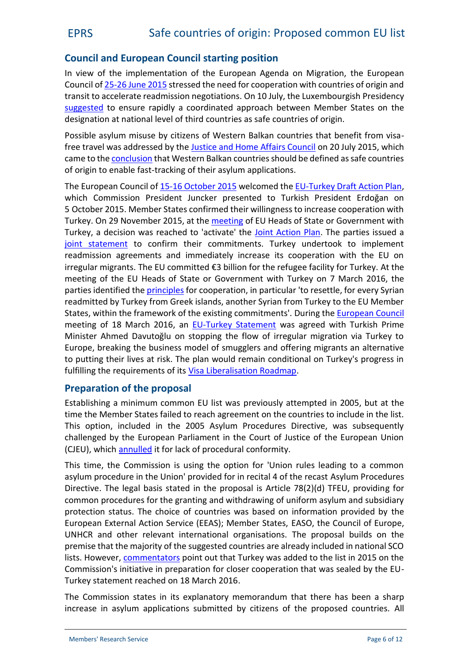#### **Council and European Council starting position**

In view of the implementation of the European Agenda on Migration, the European Council of [25-26 June 2015](http://www.consilium.europa.eu/en/meetings/european-council/2015/06/25-26/) stressed the need for cooperation with countries of origin and transit to accelerate readmission negotiations. On 10 July, the Luxembourgish Presidency [suggested](http://www.statewatch.org/news/2015/jul/eu-council-safe-country-of-origin-10687-15.pdf) to ensure rapidly a coordinated approach between Member States on the designation at national level of third countries as safe countries of origin.

Possible asylum misuse by citizens of Western Balkan countries that benefit from visa-free travel was addressed by the [Justice and Home Affairs Council](http://www.consilium.europa.eu/en/meetings/jha/2015/07/20/) on 20 July 2015, which came to the [conclusion](http://data.consilium.europa.eu/doc/document/ST-11133-2015-INIT/en/pdf) that Western Balkan countries should be defined as safe countries of origin to enable fast-tracking of their asylum applications.

The European Council of [15-16 October 2015](http://www.consilium.europa.eu/en/meetings/european-council/2015/10/15-16/) welcomed the [EU-Turkey Draft Action Plan](http://ec.europa.eu/news/2015/10/20151006_en.htm), which Commission President Juncker presented to Turkish President Erdoğan on 5 October 2015. Member States confirmed their willingness to increase cooperation with Turkey. On 29 November 2015, at the [meeting](http://www.europarl.europa.eu/RegData/etudes/BRIE/2015/573276/EPRS_BRI%282015%29573276_EN.pdf) of EU Heads of State or Government with Turkey, a decision was reached to 'activate' the [Joint Action Plan.](http://europa.eu/rapid/press-release_MEMO-15-5860_en.htm) The parties issued a [joint statement](http://www.consilium.europa.eu/en/press/press-releases/2015/11/29-eu-turkey-meeting-statement/) to confirm their commitments. Turkey undertook to implement readmission agreements and immediately increase its cooperation with the EU on irregular migrants. The EU committed €3 billion for the refugee facility for Turkey. At the meeting of the EU Heads of State or Government with Turkey on 7 March 2016, the parties identified the [principles](http://www.consilium.europa.eu/en/meetings/international-summit/2016/03/07/) for cooperation, in particular 'to resettle, for every Syrian readmitted by Turkey from Greek islands, another Syrian from Turkey to the EU Member States, within the framework of the existing commitments'. During the [European Council](http://www.europarl.europa.eu/RegData/etudes/BRIE/2016/581401/EPRS_BRI%282016%29581401_EN.pdf) meeting of18 March 2016, an [EU-Turkey Statement](http://www.consilium.europa.eu/en/press/press-releases/2016/03/18-eu-turkey-statement/) was agreed with Turkish Prime Minister Ahmed Davutoğlu on stopping the flow of irregular migration via Turkey to Europe, breaking the business model of smugglers and offering migrants an alternative to putting their lives at risk. The plan would remain conditional on Turkey's progress in fulfilling the requirements of its [Visa Liberalisation Roadmap](http://ec.europa.eu/dgs/home-affairs/what-we-do/policies/european-agenda-migration/background-information/docs/20160504/turkey_progress_visa_liberalisation_roadmap_en.pdf).

#### **Preparation of the proposal**

Establishing a minimum common EU list was previously attempted in 2005, but at the time the Member States failed to reach agreement on the countries to include in the list. This option, included in the 2005 Asylum Procedures Directive, was subsequently challenged by the European Parliament in the Court of Justice of the European Union (CJEU), which [annulled](http://curia.europa.eu/juris/liste.jsf?language=en&num=C-133/06) it for lack of procedural conformity.

This time, the Commission is using the option for 'Union rules leading to a common asylum procedure in the Union' provided for in recital 4 of the recast Asylum Procedures Directive. The legal basis stated in the proposal is Article 78(2)(d) TFEU, providing for common procedures for the granting and withdrawing of uniform asylum and subsidiary protection status. The choice of countries was based on information provided by the European External Action Service (EEAS); Member States, EASO, the Council of Europe, UNHCR and other relevant international organisations. The proposal builds on the premise that the majority of the suggested countries are already included in national SCO lists. However, [commentators](http://eulawanalysis.blogspot.be/2015/09/safe-countries-of-origin-assessing-new.html) point out that Turkey was added to the list in 2015 on the Commission's initiative in preparation for closer cooperation that was sealed by the EU- Turkey statement reached on 18 March 2016.

The Commission states in its explanatory memorandum that there has been a sharp increase in asylum applications submitted by citizens of the proposed countries. All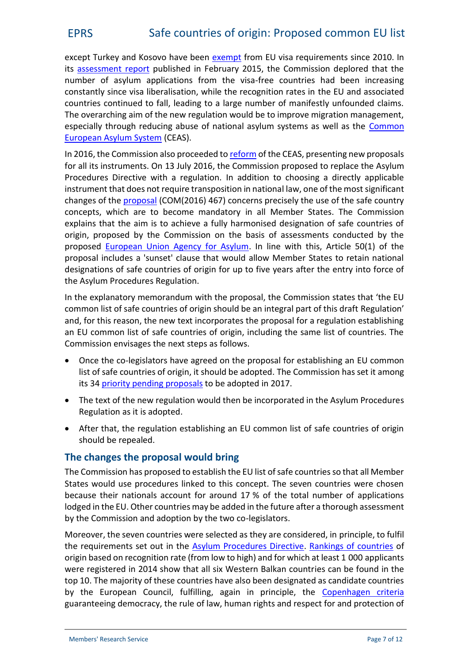except Turkey and Kosovo have been [exempt](http://eur-lex.europa.eu/legal-content/EN/TXT/PDF/?uri=CELEX:02001R0539-20140609&from=EN) from EU visa requirements since 2010. In its [assessment](http://ec.europa.eu/dgs/home-affairs/what-is-new/news/news/docs/20150225_5th_post-visa_liberalisation_report_with_western_balkan_countries_en.pdf) report published in February 2015, the Commission deplored that the number of asylum applications from the visa-free countries had been increasing constantly since visa liberalisation, while the recognition rates in the EU and associated countries continued to fall, leading to a large number of manifestly unfounded claims. The overarching aim of the new regulation would be to improve migration management, especially through reducing abuse of national asylum systems as well as the [Common](http://ec.europa.eu/dgs/home-affairs/what-we-do/policies/asylum/index_en.htm) [European Asylum System](http://ec.europa.eu/dgs/home-affairs/what-we-do/policies/asylum/index_en.htm) (CEAS).

In 2016, the Commission also proceeded to [reform](http://eur-lex.europa.eu/legal-content/en/ALL/?uri=CELEX%3A52016DC0197) of the CEAS, presenting new proposals for all its instruments. On 13 July 2016, the Commission proposed to replace the Asylum Procedures Directive with a regulation. In addition to choosing a directly applicable instrument that does not require transposition in national law, one of the mostsignificant changes of the [proposal](http://eur-lex.europa.eu/legal-content/EN/TXT/?uri=COM:2016:0467:FIN) (COM(2016) 467) concerns precisely the use of the safe country concepts, which are to become mandatory in all Member States. The Commission explains that the aim is to achieve a fully harmonised designation of safe countries of origin, proposed by the Commission on the basis of assessments conducted by the proposed [European Union Agency for Asylum](http://www.europarl.europa.eu/RegData/etudes/BRIE/2016/595849/EPRS_BRI%282016%29595849_EN.pdf). In line with this, Article 50(1) of the proposal includes a 'sunset' clause that would allow Member States to retain national designations of safe countries of origin for up to five years after the entry into force of the Asylum Procedures Regulation.

In the explanatory memorandum with the proposal, the Commission states that 'the EU common list of safe countries of origin should be an integral part of this draft Regulation' and, for this reason, the new text incorporates the proposal for a regulation establishing an EU common list of safe countries of origin, including the same list of countries. The Commission envisages the next steps as follows.

- Once the co-legislators have agreed on the proposal for establishing an EU common list of safe countries of origin, it should be adopted. The Commission has set it among its 34 [priority pending proposals](http://ec.europa.eu/atwork/pdf/cwp_2017_annex_iii_en.pdf) to be adopted in 2017.
- The text of the new regulation would then be incorporated in the Asylum Procedures Regulation as it is adopted.
- After that, the regulation establishing an EU common list of safe countries of origin should be repealed.

#### **The changes the proposal would bring**

The Commission has proposed to establish the EU list of safe countries so that all Member States would use procedures linked to this concept. The seven countries were chosen because their nationals account for around 17 % of the total number of applications lodged in the EU. Other countries may be added in the future after a thorough assessment by the Commission and adoption by the two co-legislators.

Moreover, the seven countries were selected as they are considered, in principle, to fulfil the requirements set out in the [Asylum Procedures Directive](http://eur-lex.europa.eu/legal-content/EN/TXT/PDF/?uri=CELEX:32013L0032&from=EN). [Rankings of countries](http://www.statewatch.org/news/2015/jul/eu-com-safe-countries.pdf) of origin based on recognition rate (from low to high) and for which at least 1 000 applicants were registered in 2014 show that all six Western Balkan countries can be found in the top 10. The majority of these countries have also been designated as candidate countries by the European Council, fulfilling, again in principle, the [Copenhagen criteria](http://ec.europa.eu/enlargement/pdf/key_documents/2014/20141008-strategy-paper_en.pdf) guaranteeing democracy, the rule of law, human rights and respect for and protection of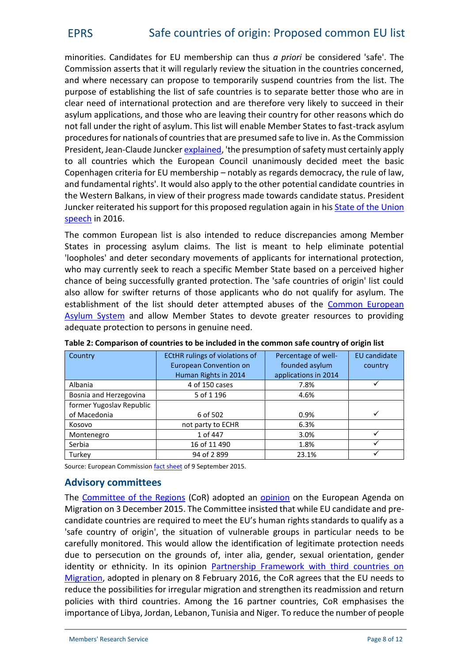minorities. Candidates for EU membership can thus *a priori* be considered 'safe'. The Commission asserts that it will regularly review the situation in the countries concerned, and where necessary can propose to temporarily suspend countries from the list. The purpose of establishing the list of safe countries is to separate better those who are in clear need of international protection and are therefore very likely to succeed in their asylum applications, and those who are leaving their country for other reasons which do not fall under the right of asylum. This list will enable Member States to fast-track asylum procedures for nationals of countries that are presumed safe to live in. As the Commission President, Jean-Claude Juncker [explained](https://ec.europa.eu/priorities/sites/beta-political/files/state_of_the_union_2015_en.pdf), 'the presumption of safety must certainly apply to all countries which the European Council unanimously decided meet the basic Copenhagen criteria for EU membership – notably as regards democracy, the rule of law, and fundamental rights'. It would also apply to the other potential candidate countries in the Western Balkans, in view of their progress made towards candidate status. President Juncker reiterated his support for this proposed regulation again in his **[State of the Union](https://ec.europa.eu/priorities/state-union-2016_en)** [speech](https://ec.europa.eu/priorities/state-union-2016_en) in 2016.

The common European list is also intended to reduce discrepancies among Member States in processing asylum claims. The list is meant to help eliminate potential 'loopholes' and deter secondary movements of applicants for international protection, who may currently seek to reach a specific Member State based on a perceived higher chance of being successfully granted protection. The 'safe countries of origin' list could also allow for swifter returns of those applicants who do not qualify for asylum. The establishment of the list should deter attempted abuses of the [Common European](http://ec.europa.eu/dgs/home-affairs/what-we-do/policies/asylum/index_en.htm) [Asylum System](http://ec.europa.eu/dgs/home-affairs/what-we-do/policies/asylum/index_en.htm) and allow Member States to devote greater resources to providing adequate protection to persons in genuine need.

| Country                  | <b>ECtHR rulings of violations of</b> | EU candidate<br>Percentage of well- |   |
|--------------------------|---------------------------------------|-------------------------------------|---|
|                          | <b>European Convention on</b>         | founded asylum<br>country           |   |
|                          | Human Rights in 2014                  | applications in 2014                |   |
| Albania                  | 4 of 150 cases                        | 7.8%                                |   |
| Bosnia and Herzegovina   | 5 of 1 196                            | 4.6%                                |   |
| former Yugoslav Republic |                                       |                                     |   |
| of Macedonia             | 6 of 502                              | 0.9%                                | ✓ |
| Kosovo                   | not party to ECHR                     | 6.3%                                |   |
| Montenegro               | 1 of 447                              | 3.0%                                |   |
| Serbia                   | 16 of 11 490                          | 1.8%                                |   |
| Turkey                   | 94 of 2899                            | 23.1%                               |   |

**Table 2: Comparison of countries to be included in the common safe country of origin list**

Source: European Commission [fact sheet](http://ec.europa.eu/dgs/home-affairs/what-we-do/policies/european-agenda-migration/background-information/docs/2_eu_safe_countries_of_origin_en.pdf) of 9 September 2015.

#### **Advisory committees**

The [Committee of the Regions](http://cor.europa.eu/Pages/welcome.html) (CoR) adopted an [opinion](http://cor.europa.eu/en/activities/opinions/pages/opinion-factsheet.aspx?OpinionNumber=CDR%202607/2015) on the European Agenda on Migration on 3 December 2015. The Committee insisted that while EU candidate and pre candidate countries are required to meet the EU's human rights standards to qualify as a 'safe country of origin', the situation of vulnerable groups in particular needs to be carefully monitored. This would allow the identification of legitimate protection needs due to persecution on the grounds of, inter alia, gender, sexual orientation, gender identity or ethnicity. In its opinion [Partnership Framework with third countries on](http://cor.europa.eu/en/activities/opinions/pages/opinion-factsheet.aspx?OpinionNumber=CDR%204555/2016) [Migration](http://cor.europa.eu/en/activities/opinions/pages/opinion-factsheet.aspx?OpinionNumber=CDR%204555/2016), adopted in plenary on 8 February 2016, the CoR agrees that the EU needs to reduce the possibilities for irregular migration and strengthen its readmission and return policies with third countries. Among the 16 partner countries, CoR emphasises the importance of Libya, Jordan, Lebanon, Tunisia and Niger. To reduce the number of people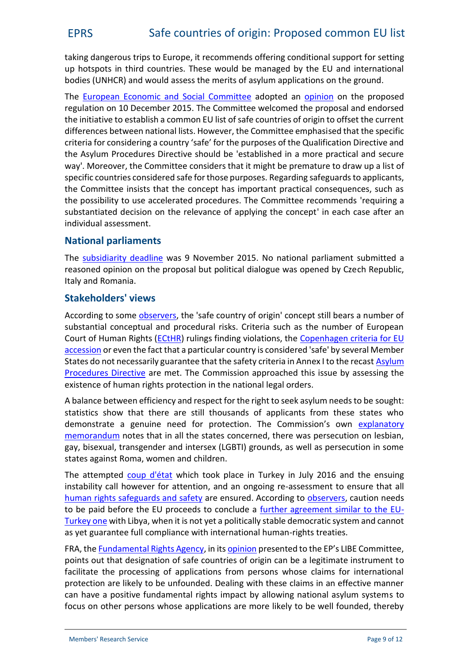taking dangerous trips to Europe, it recommends offering conditional support for setting up hotspots in third countries. These would be managed by the EU and international bodies (UNHCR) and would assess the merits of asylum applications on the ground.

The [European Economic and Social Committee](http://www.eesc.europa.eu/) adopted an [opinion](http://eur-lex.europa.eu/legal-content/EN/TXT/?uri=uriserv:OJ.C_.2016.071.01.0082.01.ENG&toc=OJ:C:2016:071:TOC) on the proposed regulation on 10 December 2015. The Committee welcomed the proposal and endorsed the initiative to establish a common EU list of safe countries of origin to offset the current differences between national lists. However, the Committee emphasised that the specific criteria for considering a country 'safe' for the purposes of the Qualification Directive and the Asylum Procedures Directive should be 'established in a more practical and secure way'. Moreover, the Committee considers that it might be premature to draw up a list of specific countries considered safe for those purposes. Regarding safeguards to applicants, the Committee insists that the concept has important practical consequences, such as the possibility to use accelerated procedures. The Committee recommends 'requiring a substantiated decision on the relevance of applying the concept' in each case after an individual assessment.

#### **National parliaments**

The [subsidiarity deadline](http://www.ipex.eu/IPEXL-WEB/dossier/document/COM20150452.do) was 9 November 2015. No national parliament submitted a reasoned opinion on the proposal but political dialogue was opened by Czech Republic, Italy and Romania.

#### **Stakeholders' views**

According to some [observers](http://eulawanalysis.blogspot.be/2015/09/safe-countries-of-origin-assessing-new.html), the 'safe country of origin' concept still bears a number of substantial conceptual and procedural risks. Criteria such as the number of European Court of Human Rights [\(ECtHR](http://www.echr.coe.int/Pages/home.aspx?p=home)) rulings finding violations, the [Copenhagen criteria for EU](http://ec.europa.eu/enlargement/pdf/key_documents/2014/20141008-strategy-paper_en.pdf) [accession](http://ec.europa.eu/enlargement/pdf/key_documents/2014/20141008-strategy-paper_en.pdf) or even the fact that a particular country is considered 'safe' by several Member States do not necessarily guarantee that the safety criteria in Annex I to the recast [Asylum](http://eur-lex.europa.eu/legal-content/EN/TXT/PDF/?uri=CELEX:32013L0032&from=EN) [Procedures Directive](http://eur-lex.europa.eu/legal-content/EN/TXT/PDF/?uri=CELEX:32013L0032&from=EN) are met. The Commission approached this issue by assessing the existence of human rights protection in the national legal orders.

A balance between efficiency and respect for the right to seek asylum needs to be sought: statistics show that there are still thousands of applicants from these states who demonstrate a genuine need for protection. The Commission's own [explanatory](http://eur-lex.europa.eu/resource.html?uri=cellar:a5874209-56cc-11e5-afbf-01aa75ed71a1.0009.02/DOC_1&format=PDF) [memorandum](http://eur-lex.europa.eu/resource.html?uri=cellar:a5874209-56cc-11e5-afbf-01aa75ed71a1.0009.02/DOC_1&format=PDF) notes that in all the states concerned, there was persecution on lesbian, gay, bisexual, transgender and intersex (LGBTI) grounds, as well as persecution in some states against Roma, women and children.

The attempted [coup d'état](http://www.bbc.com/news/world-europe-36816045) which took place in Turkey in July 2016 and the ensuing instability call however for attention, and an ongoing re-assessment to ensure that all [human rights safeguards and safety](http://www.newslettereuropean.eu/eu-list-of-safe-countries-of-origin-voted-by-libe-committee/) are ensured. According to [observers](http://eulawanalysis.blogspot.be/2016/05/the-orbanisation-of-eu-asylum-law.html), caution needs to be paid before the EU proceeds to conclude a [further agreement similar to the EU-](http://www.atlasinfo.fr/Migrations-l-UE-envisage-une-ligne-de-protection-dans-les-eaux-libyennes_a78824.html) [Turkey one](http://www.atlasinfo.fr/Migrations-l-UE-envisage-une-ligne-de-protection-dans-les-eaux-libyennes_a78824.html) with Libya, when it is not yet a politically stable democratic system and cannot as yet guarantee full compliance with international human-rights treaties.

FRA, the [Fundamental Rights Agency,](http://fra.europa.eu/en) in its [opinion](http://fra.europa.eu/sites/default/files/fra_uploads/fra-2016-opinion-safe-country-of-origin-01-2016_en.pdf) presented to the EP's LIBE Committee, points out that designation of safe countries of origin can be a legitimate instrument to facilitate the processing of applications from persons whose claims for international protection are likely to be unfounded. Dealing with these claims in an effective manner can have a positive fundamental rights impact by allowing national asylum systems to focus on other persons whose applications are more likely to be well founded, thereby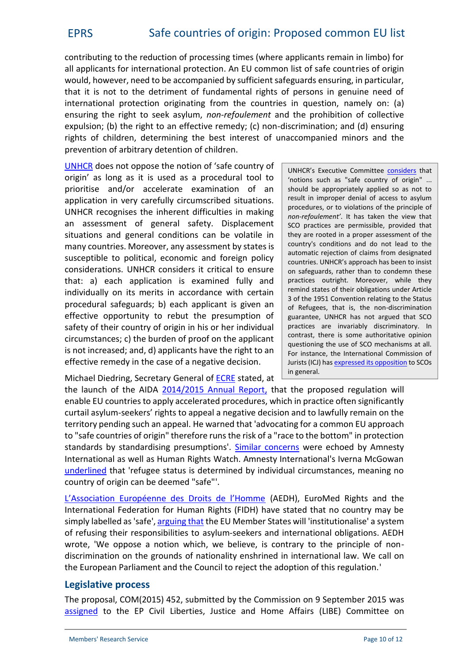contributing to the reduction of processing times (where applicants remain in limbo) for all applicants for international protection. An EU common list of safe countries of origin would, however, need to be accompanied by sufficient safeguards ensuring, in particular, that it is not to the detriment of fundamental rights of persons in genuine need of international protection originating from the countries in question, namely on: (a) ensuring the right to seek asylum, *non-refoulement* and the prohibition of collective expulsion; (b) the right to an effective remedy; (c) non-discrimination; and (d) ensuring rights of children, determining the best interest of unaccompanied minors and the prevention of arbitrary detention of children.

[UNHCR](http://www.refworld.org/cgi-bin/texis/vtx/rwmain/opendocpdf.pdf?reldoc=y&docid=4bab55ea2) does not oppose the notion of 'safe country of origin' as long as it is used as a procedural tool to prioritise and/or accelerate examination of an application in very carefully circumscribed situations. UNHCR recognises the inherent difficulties in making an assessment of general safety. Displacement situations and general conditions can be volatile in many countries. Moreover, any assessment by states is susceptible to political, economic and foreign policy considerations. UNHCR considers it critical to ensure that: a) each application is examined fully and individually on its merits in accordance with certain procedural safeguards; b) each applicant is given an effective opportunity to rebut the presumption of safety of their country of origin in his or her individual circumstances; c) the burden of proof on the applicant is not increased; and, d) applicants have the right to an effective remedy in the case of a negative decision.

UNHCR's Executive Committee [considers](http://ijrl.oxfordjournals.org/content/28/4/601.full?etoc) that 'notions such as "safe country of origin" ... should be appropriately applied so as not to result in improper denial of access to asylum procedures, or to violations of the principle of *non-refoulement'*. It has taken the view that SCO practices are permissible, provided that they are rooted in a proper assessment of the country's conditions and do not lead to the automatic rejection of claims from designated countries. UNHCR's approach has been to insist on safeguards, rather than to condemn these practices outright. Moreover, while they remind states of their obligations under Article 3 of the 1951 Convention relating to the Status of Refugees, that is, the non-discrimination guarantee, UNHCR has not argued that SCO practices are invariably discriminatory. In contrast, there is some authoritative opinion questioning the use of SCO mechanisms at all. For instance, the International Commission of Jurists (ICJ) has [expressed its opposition](http://briguglio.asgi.it/immigrazione-e-asilo/2011/settembre/oss-icj-dir-accoglienza-2.pdf) to SCOs in general.

Michael Diedring, Secretary General of [ECRE](http://www.ecre.org/) stated, at

the launch of the AIDA [2014/2015 Annual Report](http://www.asylumineurope.org/annual-report-20142015), that the proposed regulation will enable EU countries to apply accelerated procedures, which in practice often significantly curtail asylum-seekers' rights to appeal a negative decision and to lawfully remain on the territory pending such an appeal. He warned that 'advocating for a common EU approach to "safe countries of origin" therefore runs the risk of a "race to the bottom" in protection standards by standardising presumptions'. [Similar concerns](https://www.theparliamentmagazine.eu/articles/news/junckers-eu-common-list-safe-countries-origin-raises-questions) were echoed by Amnesty International as well as Human Rights Watch. Amnesty International's Iverna McGowan [underlined](https://www.amnesty.org/en/latest/news/2015/09/eu-action-not-words-needed-at-jha-to-end-suffering-of-thousands/) that 'refugee status is determined by individual circumstances, meaning no country of origin can be deemed "safe"'.

[L'Association Européenne des Droits de l'Homme](http://www.aedh.eu/) (AEDH), EuroMed Rights and the International Federation for Human Rights (FIDH) have stated that no country may be simply labelled as 'safe', [arguing that](http://www.newslettereuropean.eu/eu-list-of-safe-countries-of-origin-voted-by-libe-committee/) the EU Member States will 'institutionalise' a system of refusing their responsibilities to asylum-seekers and international obligations. AEDH wrote, 'We oppose a notion which, we believe, is contrary to the principle of non discrimination on the grounds of nationality enshrined in international law. We call on the European Parliament and the Council to reject the adoption of this regulation.'

## **Legislative process**

The proposal, COM(2015) 452, submitted by the Commission on 9 September 2015 was [assigned](http://www.europarl.europa.eu/oeil/popups/ficheprocedure.do?reference=2015/0211%28COD%29&l=en) to the EP Civil Liberties, Justice and Home Affairs (LIBE) Committee on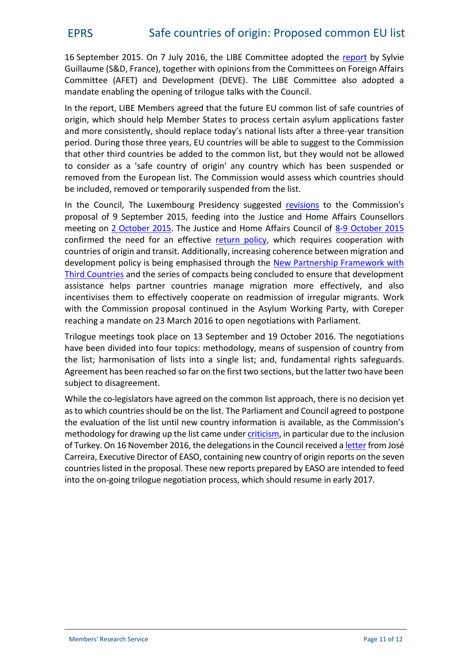16 September 2015. On 7 July 2016, the LIBE Committee adopted the [report](http://www.europarl.europa.eu/sides/getDoc.do?type=REPORT&mode=XML&reference=A8-2016-0244&language=EN) by Sylvie Guillaume (S&D, France), together with opinions from the Committees on Foreign Affairs Committee (AFET) and Development (DEVE). The LIBE Committee also adopted a mandate enabling the opening of trilogue talks with the Council.

In the report, LIBE Members agreed that the future EU common list of safe countries of origin, which should help Member States to process certain asylum applications faster and more consistently, should replace today's national lists after a three-year transition period. During those three years, EU countries will be able to suggest to the Commission that other third countries be added to the common list, but they would not be allowed to consider as a 'safe country of origin' any country which has been suspended or removed from the European list. The Commission would assess which countries should be included, removed or temporarily suspended from the list.

In the Council, The Luxembourg Presidency suggested [revisions](http://www.statewatch.org/news/2015/sep/eu-council-safe-countires-list-12414-15.pdf) to the Commission's proposal of 9 September 2015, feeding into the Justice and Home Affairs Counsellors meeting on [2 October 2015](http://www.consilium.europa.eu/en/meetings/mpo/2015/10/jha-counsellors-%28europol%29-%28242225%29/). The Justice and Home Affairs Council of [8-9 October 2015](http://www.consilium.europa.eu/en/meetings/jha/2015/10/08-09/) confirmed the need for an effective [return policy](http://www.consilium.europa.eu/en/press/press-releases/2015/10/08-jha-return-policy/), which requires cooperation with countries of origin and transit. Additionally, increasing coherence between migration and development policy is being emphasised through the [New Partnership Framework with](https://ec.europa.eu/home-affairs/sites/homeaffairs/files/what-we-do/policies/european-agenda-migration/proposal-implementation-package/docs/20160607/communication_external_aspects_eam_towards_new_migration_ompact_en.pdf) [Third Countries](https://ec.europa.eu/home-affairs/sites/homeaffairs/files/what-we-do/policies/european-agenda-migration/proposal-implementation-package/docs/20160607/communication_external_aspects_eam_towards_new_migration_ompact_en.pdf) and the series of compacts being concluded to ensure that development assistance helps partner countries manage migration more effectively, and also incentivises them to effectively cooperate on readmission of irregular migrants. Work with the Commission proposal continued in the Asylum Working Party, with Coreper reaching a mandate on 23 March 2016 to open negotiations with Parliament.

Trilogue meetings took place on 13 September and 19 October 2016. The negotiations have been divided into four topics: methodology, means of suspension of country from the list; harmonisation of lists into a single list; and, fundamental rights safeguards. Agreement has been reached so far on the first two sections, but the latter two have been subject to disagreement.

While the co-legislators have agreed on the common list approach, there is no decision yet as to which countries should be on the list. The Parliament and Council agreed to postpone the evaluation of the list until new country information is available, as the Commission's methodology for drawing up the list came under *[criticism](http://www.aedh.eu/Green-light-given-to-a-common-list.html)*, in particular due to the inclusion of Turkey. On 16 November 2016, the delegations in the Council received a [letter](http://eur-lex.europa.eu/legal-content/EN/TXT/PDF/?uri=CONSIL:ST_14543_2016_INIT&from=EN) from José Carreira, Executive Director of EASO, containing new country of origin reports on the seven countries listed in the proposal. These new reports prepared by EASO are intended to feed into the on-going trilogue negotiation process, which should resume in early 2017.